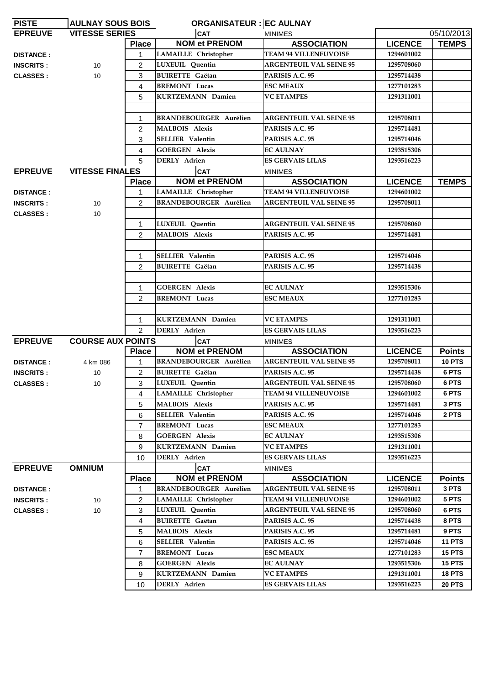| <b>PISTE</b>     | <b>AULNAY SOUS BOIS</b>  |                | <b>ORGANISATEUR : EC AULNAY</b> |                                |                |               |
|------------------|--------------------------|----------------|---------------------------------|--------------------------------|----------------|---------------|
| <b>EPREUVE</b>   | <b>VITESSE SERIES</b>    |                | <b>CAT</b>                      | <b>MINIMES</b>                 |                | 05/10/2013    |
|                  |                          | <b>Place</b>   | <b>NOM et PRENOM</b>            | <b>ASSOCIATION</b>             | <b>LICENCE</b> | <b>TEMPS</b>  |
| <b>DISTANCE:</b> |                          | $\mathbf{1}$   | LAMAILLE Christopher            | <b>TEAM 94 VILLENEUVOISE</b>   | 1294601002     |               |
| <b>INSCRITS:</b> | 10                       | $\overline{2}$ | <b>LUXEUIL</b> Ouentin          | <b>ARGENTEUIL VAL SEINE 95</b> | 1295708060     |               |
| <b>CLASSES:</b>  | 10                       | 3              | <b>BUIRETTE</b> Gaëtan          | PARISIS A.C. 95                | 1295714438     |               |
|                  |                          | 4              | <b>BREMONT Lucas</b>            | <b>ESC MEAUX</b>               | 1277101283     |               |
|                  |                          | 5              | <b>KURTZEMANN Damien</b>        | <b>VC ETAMPES</b>              | 1291311001     |               |
|                  |                          |                |                                 |                                |                |               |
|                  |                          | $\mathbf 1$    | <b>BRANDEBOURGER Aurélien</b>   | <b>ARGENTEUIL VAL SEINE 95</b> | 1295708011     |               |
|                  |                          | $\overline{2}$ | <b>MALBOIS</b> Alexis           | PARISIS A.C. 95                | 1295714481     |               |
|                  |                          | 3              | <b>SELLIER Valentin</b>         | PARISIS A.C. 95                | 1295714046     |               |
|                  |                          | 4              | <b>GOERGEN Alexis</b>           | <b>EC AULNAY</b>               | 1293515306     |               |
|                  |                          | 5              | <b>DERLY</b> Adrien             | <b>ES GERVAIS LILAS</b>        | 1293516223     |               |
| <b>EPREUVE</b>   | <b>VITESSE FINALES</b>   |                | <b>CAT</b>                      | <b>MINIMES</b>                 |                |               |
|                  |                          | <b>Place</b>   | <b>NOM et PRENOM</b>            | <b>ASSOCIATION</b>             | <b>LICENCE</b> | <b>TEMPS</b>  |
| <b>DISTANCE:</b> |                          | 1.             | LAMAILLE Christopher            | <b>TEAM 94 VILLENEUVOISE</b>   | 1294601002     |               |
| <b>INSCRITS:</b> | 10                       | $\overline{2}$ | <b>BRANDEBOURGER Aurélien</b>   | <b>ARGENTEUIL VAL SEINE 95</b> | 1295708011     |               |
| <b>CLASSES:</b>  | 10                       |                |                                 |                                |                |               |
|                  |                          | $\mathbf{1}$   | LUXEUIL Quentin                 | <b>ARGENTEUIL VAL SEINE 95</b> | 1295708060     |               |
|                  |                          | $\mathcal{P}$  | <b>MALBOIS Alexis</b>           | PARISIS A.C. 95                | 1295714481     |               |
|                  |                          |                |                                 |                                |                |               |
|                  |                          | $\mathbf{1}$   | <b>SELLIER Valentin</b>         | PARISIS A.C. 95                | 1295714046     |               |
|                  |                          | $\overline{2}$ | <b>BUIRETTE</b> Gaëtan          | PARISIS A.C. 95                | 1295714438     |               |
|                  |                          |                |                                 |                                |                |               |
|                  |                          | $\mathbf{1}$   | <b>GOERGEN Alexis</b>           | <b>EC AULNAY</b>               | 1293515306     |               |
|                  |                          | $\overline{2}$ | <b>BREMONT</b> Lucas            | <b>ESC MEAUX</b>               | 1277101283     |               |
|                  |                          |                |                                 |                                |                |               |
|                  |                          | $\mathbf 1$    | <b>KURTZEMANN Damien</b>        | <b>VC ETAMPES</b>              | 1291311001     |               |
|                  |                          | $\overline{2}$ | <b>DERLY</b> Adrien             | <b>ES GERVAIS LILAS</b>        | 1293516223     |               |
| <b>EPREUVE</b>   | <b>COURSE AUX POINTS</b> |                | <b>CAT</b>                      | <b>MINIMES</b>                 |                |               |
|                  |                          | <b>Place</b>   | <b>NOM et PRENOM</b>            | <b>ASSOCIATION</b>             | <b>LICENCE</b> | <b>Points</b> |
| <b>DISTANCE:</b> | 4 km 086                 | 1              | <b>BRANDEBOURGER Aurélien</b>   | <b>ARGENTEUIL VAL SEINE 95</b> | 1295708011     | <b>10 PTS</b> |
| <b>INSCRITS:</b> | 10                       | 2              | <b>BUIRETTE</b> Gaëtan          | PARISIS A.C. 95                | 1295714438     | 6 PTS         |
| <b>CLASSES:</b>  | 10 <sup>°</sup>          | 3              | LUXEUIL Ouentin                 | <b>ARGENTEUIL VAL SEINE 95</b> | 1295708060     | 6 PTS         |
|                  |                          | 4              | <b>LAMAILLE</b> Christopher     | <b>TEAM 94 VILLENEUVOISE</b>   | 1294601002     | 6 PTS         |
|                  |                          | 5              | <b>MALBOIS Alexis</b>           | PARISIS A.C. 95                | 1295714481     | 3 PTS         |
|                  |                          | 6              | <b>SELLIER Valentin</b>         | PARISIS A.C. 95                | 1295714046     | 2 PTS         |
|                  |                          | $\overline{7}$ | <b>BREMONT Lucas</b>            | <b>ESC MEAUX</b>               | 1277101283     |               |
|                  |                          | 8              | <b>GOERGEN Alexis</b>           | <b>EC AULNAY</b>               | 1293515306     |               |
|                  |                          | 9              | <b>KURTZEMANN Damien</b>        | <b>VC ETAMPES</b>              | 1291311001     |               |
|                  |                          | 10             | <b>DERLY</b> Adrien             | <b>ES GERVAIS LILAS</b>        | 1293516223     |               |
| <b>EPREUVE</b>   | <b>OMNIUM</b>            |                | <b>CAT</b>                      | <b>MINIMES</b>                 |                |               |
|                  |                          | <b>Place</b>   | <b>NOM et PRENOM</b>            | <b>ASSOCIATION</b>             | <b>LICENCE</b> | <b>Points</b> |
| <b>DISTANCE:</b> |                          | $\mathbf{1}$   | <b>BRANDEBOURGER Aurélien</b>   | <b>ARGENTEUIL VAL SEINE 95</b> | 1295708011     | 3 PTS         |
| <b>INSCRITS:</b> | 10                       | 2              | <b>LAMAILLE</b> Christopher     | <b>TEAM 94 VILLENEUVOISE</b>   | 1294601002     | 5 PTS         |
| <b>CLASSES:</b>  | 10                       | 3              | LUXEUIL Quentin                 | <b>ARGENTEUIL VAL SEINE 95</b> | 1295708060     | 6 PTS         |
|                  |                          | 4              | <b>BUIRETTE Gaëtan</b>          | PARISIS A.C. 95                | 1295714438     | 8 PTS         |
|                  |                          | 5              | <b>MALBOIS Alexis</b>           | PARISIS A.C. 95                | 1295714481     | 9 PTS         |
|                  |                          | 6              | <b>SELLIER Valentin</b>         | PARISIS A.C. 95                | 1295714046     | <b>11 PTS</b> |
|                  |                          | $\overline{7}$ | <b>BREMONT</b> Lucas            | <b>ESC MEAUX</b>               | 1277101283     | <b>15 PTS</b> |
|                  |                          | 8              | <b>GOERGEN Alexis</b>           | <b>EC AULNAY</b>               | 1293515306     | 15 PTS        |
|                  |                          | 9              | KURTZEMANN Damien               | <b>VC ETAMPES</b>              | 1291311001     | <b>18 PTS</b> |
|                  |                          | 10             | DERLY Adrien                    | <b>ES GERVAIS LILAS</b>        | 1293516223     | <b>20 PTS</b> |
|                  |                          |                |                                 |                                |                |               |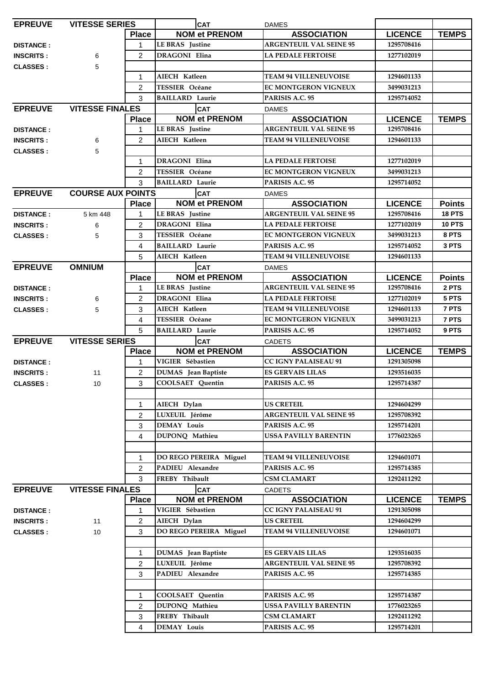| <b>EPREUVE</b>   | <b>VITESSE SERIES</b>    |                | <b>CAT</b>                 | <b>DAMES</b>                   |                |               |
|------------------|--------------------------|----------------|----------------------------|--------------------------------|----------------|---------------|
|                  |                          | <b>Place</b>   | <b>NOM et PRENOM</b>       | <b>ASSOCIATION</b>             | <b>LICENCE</b> | <b>TEMPS</b>  |
| <b>DISTANCE:</b> |                          | 1              | <b>LE BRAS</b> Justine     | <b>ARGENTEUIL VAL SEINE 95</b> | 1295708416     |               |
| <b>INSCRITS:</b> | 6                        | $\mathcal{P}$  | <b>DRAGONI Elina</b>       | <b>LA PEDALE FERTOISE</b>      | 1277102019     |               |
| <b>CLASSES:</b>  | 5                        |                |                            |                                |                |               |
|                  |                          | 1              | AIECH Katleen              | <b>TEAM 94 VILLENEUVOISE</b>   | 1294601133     |               |
|                  |                          | 2              | <b>TESSIER Océane</b>      | <b>EC MONTGERON VIGNEUX</b>    | 3499031213     |               |
|                  |                          | 3              | <b>BAILLARD Laurie</b>     | PARISIS A.C. 95                | 1295714052     |               |
| <b>EPREUVE</b>   | <b>VITESSE FINALES</b>   |                | <b>CAT</b>                 | <b>DAMES</b>                   |                |               |
|                  |                          | <b>Place</b>   | <b>NOM et PRENOM</b>       | <b>ASSOCIATION</b>             | <b>LICENCE</b> | <b>TEMPS</b>  |
|                  |                          | 1              | <b>LE BRAS</b> Justine     | <b>ARGENTEUIL VAL SEINE 95</b> | 1295708416     |               |
| <b>DISTANCE:</b> |                          | 2              | AIECH Katleen              | <b>TEAM 94 VILLENEUVOISE</b>   | 1294601133     |               |
| <b>INSCRITS:</b> | 6                        |                |                            |                                |                |               |
| <b>CLASSES:</b>  | 5                        |                |                            |                                |                |               |
|                  |                          | $\mathbf{1}$   | <b>DRAGONI</b> Elina       | <b>LA PEDALE FERTOISE</b>      | 1277102019     |               |
|                  |                          | 2              | <b>TESSIER</b> Océane      | <b>EC MONTGERON VIGNEUX</b>    | 3499031213     |               |
|                  |                          | 3              | <b>BAILLARD Laurie</b>     | PARISIS A.C. 95                | 1295714052     |               |
| <b>EPREUVE</b>   | <b>COURSE AUX POINTS</b> |                | ICAT                       | <b>DAMES</b>                   |                |               |
|                  |                          | <b>Place</b>   | <b>NOM et PRENOM</b>       | <b>ASSOCIATION</b>             | <b>LICENCE</b> | <b>Points</b> |
| <b>DISTANCE:</b> | 5 km 448                 | 1              | LE BRAS Justine            | <b>ARGENTEUIL VAL SEINE 95</b> | 1295708416     | <b>18 PTS</b> |
| <b>INSCRITS:</b> | 6                        | $\overline{2}$ | <b>DRAGONI Elina</b>       | <b>LA PEDALE FERTOISE</b>      | 1277102019     | <b>10 PTS</b> |
| <b>CLASSES:</b>  | 5                        | 3              | <b>TESSIER Océane</b>      | <b>EC MONTGERON VIGNEUX</b>    | 3499031213     | 8 PTS         |
|                  |                          | 4              | <b>BAILLARD Laurie</b>     | PARISIS A.C. 95                | 1295714052     | 3 PTS         |
|                  |                          | 5              | AIECH Katleen              | <b>TEAM 94 VILLENEUVOISE</b>   | 1294601133     |               |
| <b>EPREUVE</b>   | <b>OMNIUM</b>            |                | <b>CAT</b>                 | <b>DAMES</b>                   |                |               |
|                  |                          | <b>Place</b>   | <b>NOM et PRENOM</b>       | <b>ASSOCIATION</b>             | <b>LICENCE</b> | <b>Points</b> |
| <b>DISTANCE:</b> |                          | 1              | <b>LE BRAS</b> Justine     | <b>ARGENTEUIL VAL SEINE 95</b> | 1295708416     | 2 PTS         |
| <b>INSCRITS:</b> | 6                        | $\overline{2}$ | <b>DRAGONI</b> Elina       | <b>LA PEDALE FERTOISE</b>      | 1277102019     | 5 PTS         |
| <b>CLASSES:</b>  | 5                        | 3              | AIECH Katleen              | <b>TEAM 94 VILLENEUVOISE</b>   | 1294601133     | 7 PTS         |
|                  |                          | 4              | <b>TESSIER Océane</b>      | EC MONTGERON VIGNEUX           | 3499031213     | 7 PTS         |
|                  |                          | 5              | <b>BAILLARD Laurie</b>     | PARISIS A.C. 95                | 1295714052     | 9 PTS         |
| <b>EPREUVE</b>   | <b>VITESSE SERIES</b>    |                | <b>CAT</b>                 | <b>CADETS</b>                  |                |               |
|                  |                          | <b>Place</b>   | <b>NOM et PRENOM</b>       | <b>ASSOCIATION</b>             | <b>LICENCE</b> | <b>TEMPS</b>  |
| <b>DISTANCE:</b> |                          | 1              | VIGIER Sébastien           | <b>CC IGNY PALAISEAU 91</b>    | 1291305098     |               |
| <b>INSCRITS:</b> | 11                       | $\overline{2}$ | <b>DUMAS</b> Jean Baptiste | <b>ES GERVAIS LILAS</b>        | 1293516035     |               |
| <b>CLASSES:</b>  | 10                       | 3              | <b>COOLSAET</b> Quentin    | PARISIS A.C. 95                | 1295714387     |               |
|                  |                          |                |                            |                                |                |               |
|                  |                          | 1              | AIECH Dylan                | <b>US CRETEIL</b>              | 1294604299     |               |
|                  |                          | $\overline{2}$ | LUXEUIL Jérôme             | <b>ARGENTEUIL VAL SEINE 95</b> | 1295708392     |               |
|                  |                          | 3              | <b>DEMAY Louis</b>         | PARISIS A.C. 95                | 1295714201     |               |
|                  |                          | $\overline{4}$ | DUPONQ Mathieu             | <b>USSA PAVILLY BARENTIN</b>   | 1776023265     |               |
|                  |                          |                |                            |                                |                |               |
|                  |                          | 1              | DO REGO PEREIRA Miguel     | <b>TEAM 94 VILLENEUVOISE</b>   | 1294601071     |               |
|                  |                          | $\overline{2}$ | PADIEU Alexandre           | PARISIS A.C. 95                | 1295714385     |               |
|                  |                          | 3              | FREBY Thibault             | <b>CSM CLAMART</b>             | 1292411292     |               |
| <b>EPREUVE</b>   | <b>VITESSE FINALES</b>   |                | <b>CAT</b>                 | <b>CADETS</b>                  |                |               |
|                  |                          | <b>Place</b>   | <b>NOM et PRENOM</b>       | <b>ASSOCIATION</b>             | <b>LICENCE</b> | <b>TEMPS</b>  |
| <b>DISTANCE:</b> |                          | 1              | VIGIER Sébastien           | <b>CC IGNY PALAISEAU 91</b>    | 1291305098     |               |
| <b>INSCRITS:</b> | 11                       | $\overline{2}$ | AIECH Dylan                | <b>US CRETEIL</b>              | 1294604299     |               |
| <b>CLASSES:</b>  | 10                       | 3              | DO REGO PEREIRA Miguel     | <b>TEAM 94 VILLENEUVOISE</b>   | 1294601071     |               |
|                  |                          |                |                            |                                |                |               |
|                  |                          | 1              | <b>DUMAS</b> Jean Baptiste | <b>ES GERVAIS LILAS</b>        | 1293516035     |               |
|                  |                          | $\overline{2}$ | LUXEUIL Jérôme             | <b>ARGENTEUIL VAL SEINE 95</b> | 1295708392     |               |
|                  |                          | 3              | PADIEU Alexandre           | PARISIS A.C. 95                | 1295714385     |               |
|                  |                          |                |                            |                                |                |               |
|                  |                          | $\mathbf 1$    | COOLSAET Quentin           | PARISIS A.C. 95                | 1295714387     |               |
|                  |                          | 2              | DUPONQ Mathieu             | <b>USSA PAVILLY BARENTIN</b>   | 1776023265     |               |
|                  |                          | 3              | FREBY Thibault             | <b>CSM CLAMART</b>             | 1292411292     |               |
|                  |                          | 4              | <b>DEMAY Louis</b>         | PARISIS A.C. 95                | 1295714201     |               |
|                  |                          |                |                            |                                |                |               |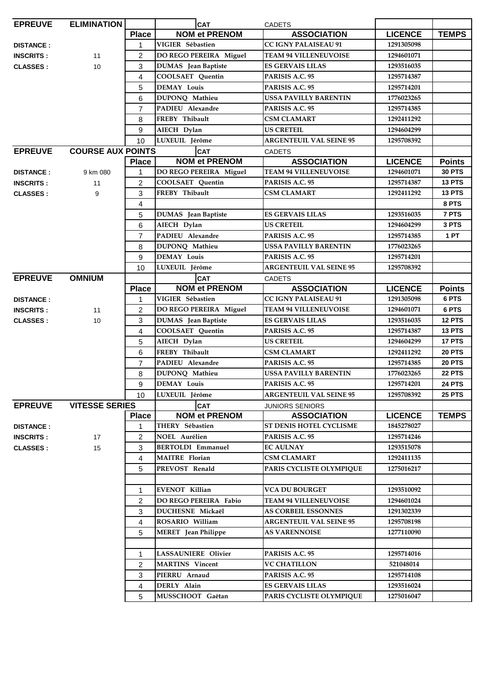| <b>EPREUVE</b>   | <b>ELIMINATION</b>       |                | <b>CAT</b>                 | <b>CADETS</b>                  |                |               |
|------------------|--------------------------|----------------|----------------------------|--------------------------------|----------------|---------------|
|                  |                          | <b>Place</b>   | <b>NOM et PRENOM</b>       | <b>ASSOCIATION</b>             | <b>LICENCE</b> | <b>TEMPS</b>  |
| <b>DISTANCE:</b> |                          | 1              | VIGIER Sébastien           | <b>CC IGNY PALAISEAU 91</b>    | 1291305098     |               |
| <b>INSCRITS:</b> | 11                       | $\overline{2}$ | DO REGO PEREIRA Miguel     | <b>TEAM 94 VILLENEUVOISE</b>   | 1294601071     |               |
| <b>CLASSES:</b>  | 10                       | 3              | <b>DUMAS</b> Jean Baptiste | <b>ES GERVAIS LILAS</b>        | 1293516035     |               |
|                  |                          | 4              | COOLSAET Quentin           | PARISIS A.C. 95                | 1295714387     |               |
|                  |                          | 5              | <b>DEMAY Louis</b>         | PARISIS A.C. 95                | 1295714201     |               |
|                  |                          | 6              | DUPONQ Mathieu             | <b>USSA PAVILLY BARENTIN</b>   | 1776023265     |               |
|                  |                          | $\overline{7}$ | PADIEU Alexandre           | PARISIS A.C. 95                | 1295714385     |               |
|                  |                          | 8              | FREBY Thibault             | CSM CLAMART                    | 1292411292     |               |
|                  |                          | 9              | AIECH Dylan                | <b>US CRETEIL</b>              | 1294604299     |               |
|                  |                          | 10             | LUXEUIL Jérôme             | <b>ARGENTEUIL VAL SEINE 95</b> | 1295708392     |               |
| <b>EPREUVE</b>   | <b>COURSE AUX POINTS</b> |                | <b>CAT</b>                 | <b>CADETS</b>                  |                |               |
|                  |                          | <b>Place</b>   | <b>NOM et PRENOM</b>       | <b>ASSOCIATION</b>             | <b>LICENCE</b> | <b>Points</b> |
| <b>DISTANCE:</b> | 9 km 080                 | $\mathbf 1$    | DO REGO PEREIRA Miguel     | <b>TEAM 94 VILLENEUVOISE</b>   | 1294601071     | <b>30 PTS</b> |
| <b>INSCRITS:</b> | 11                       | $\overline{2}$ | <b>COOLSAET</b> Quentin    | PARISIS A.C. 95                | 1295714387     | <b>13 PTS</b> |
| <b>CLASSES:</b>  | 9                        | 3              | FREBY Thibault             | <b>CSM CLAMART</b>             | 1292411292     | <b>13 PTS</b> |
|                  |                          | $\overline{4}$ |                            |                                |                | 8 PTS         |
|                  |                          | 5              | <b>DUMAS</b> Jean Baptiste | <b>ES GERVAIS LILAS</b>        | 1293516035     | 7 PTS         |
|                  |                          | 6              | AIECH Dylan                | <b>US CRETEIL</b>              | 1294604299     | 3 PTS         |
|                  |                          | $\overline{7}$ | PADIEU Alexandre           | PARISIS A.C. 95                | 1295714385     | 1 PT          |
|                  |                          | 8              | DUPONQ Mathieu             | USSA PAVILLY BARENTIN          | 1776023265     |               |
|                  |                          | 9              | <b>DEMAY Louis</b>         | PARISIS A.C. 95                | 1295714201     |               |
|                  |                          | 10             | LUXEUIL Jérôme             | <b>ARGENTEUIL VAL SEINE 95</b> | 1295708392     |               |
| <b>EPREUVE</b>   | <b>OMNIUM</b>            |                | <b>CAT</b>                 | <b>CADETS</b>                  |                |               |
|                  |                          | <b>Place</b>   | <b>NOM et PRENOM</b>       | <b>ASSOCIATION</b>             | <b>LICENCE</b> | <b>Points</b> |
| <b>DISTANCE:</b> |                          | 1              | VIGIER Sébastien           | <b>CC IGNY PALAISEAU 91</b>    | 1291305098     | 6 PTS         |
| <b>INSCRITS:</b> | 11                       | $\overline{2}$ | DO REGO PEREIRA Miguel     | <b>TEAM 94 VILLENEUVOISE</b>   | 1294601071     | 6 PTS         |
| <b>CLASSES:</b>  | 10 <sup>1</sup>          | 3              | <b>DUMAS</b> Jean Baptiste | ES GERVAIS LILAS               | 1293516035     | <b>12 PTS</b> |
|                  |                          | $\overline{4}$ | <b>COOLSAET</b> Quentin    | PARISIS A.C. 95                | 1295714387     | <b>13 PTS</b> |
|                  |                          | 5              | AIECH Dylan                | US CRETEIL                     | 1294604299     | 17 PTS        |
|                  |                          | 6              | FREBY Thibault             | <b>CSM CLAMART</b>             | 1292411292     | <b>20 PTS</b> |
|                  |                          | $\overline{7}$ | PADIEU Alexandre           | PARISIS A.C. 95                | 1295714385     | <b>20 PTS</b> |
|                  |                          | 8              | DUPONQ Mathieu             | <b>USSA PAVILLY BARENTIN</b>   | 1776023265     | <b>22 PTS</b> |
|                  |                          | 9              | <b>DEMAY Louis</b>         | PARISIS A.C. 95                | 1295714201     | <b>24 PTS</b> |
|                  |                          | 10             | LUXEUIL Jérôme             | <b>ARGENTEUIL VAL SEINE 95</b> | 1295708392     | <b>25 PTS</b> |
| <b>EPREUVE</b>   | <b>VITESSE SERIES</b>    |                | <b>CAT</b>                 | <b>JUNIORS SENIORS</b>         |                |               |
|                  |                          | <b>Place</b>   | <b>NOM et PRENOM</b>       | <b>ASSOCIATION</b>             | <b>LICENCE</b> | <b>TEMPS</b>  |
| <b>DISTANCE:</b> |                          | 1              | THERY Sébastien            | ST DENIS HOTEL CYCLISME        | 1845278027     |               |
| <b>INSCRITS:</b> | 17                       | $\overline{c}$ | <b>NOEL Aurélien</b>       | PARISIS A.C. 95                | 1295714246     |               |
| <b>CLASSES:</b>  | 15                       | 3              | <b>BERTOLDI</b> Emmanuel   | <b>EC AULNAY</b>               | 1293515078     |               |
|                  |                          | $\overline{4}$ | <b>MAITRE</b> Florian      | <b>CSM CLAMART</b>             | 1292411135     |               |
|                  |                          | 5              | PREVOST Renald             | PARIS CYCLISTE OLYMPIQUE       | 1275016217     |               |
|                  |                          |                |                            |                                |                |               |
|                  |                          | 1              | <b>EVENOT Killian</b>      | <b>VCA DU BOURGET</b>          | 1293510092     |               |
|                  |                          | 2              | DO REGO PEREIRA Fabio      | <b>TEAM 94 VILLENEUVOISE</b>   | 1294601024     |               |
|                  |                          | 3              | <b>DUCHESNE Mickaël</b>    | <b>AS CORBEIL ESSONNES</b>     | 1291302339     |               |
|                  |                          | 4              | ROSARIO William            | <b>ARGENTEUIL VAL SEINE 95</b> | 1295708198     |               |
|                  |                          | 5              | <b>MERET</b> Jean Philippe | <b>AS VARENNOISE</b>           | 1277110090     |               |
|                  |                          |                |                            |                                |                |               |
|                  |                          | 1              | <b>LASSAUNIERE Olivier</b> | PARISIS A.C. 95                | 1295714016     |               |
|                  |                          | $\overline{2}$ | <b>MARTINS</b> Vincent     | <b>VC CHATILLON</b>            | 521048014      |               |
|                  |                          | 3              | PIERRU Arnaud              | PARISIS A.C. 95                | 1295714108     |               |
|                  |                          | 4              | DERLY Alain                | <b>ES GERVAIS LILAS</b>        | 1293516024     |               |
|                  |                          | 5              | MUSSCHOOT Gaëtan           | PARIS CYCLISTE OLYMPIQUE       | 1275016047     |               |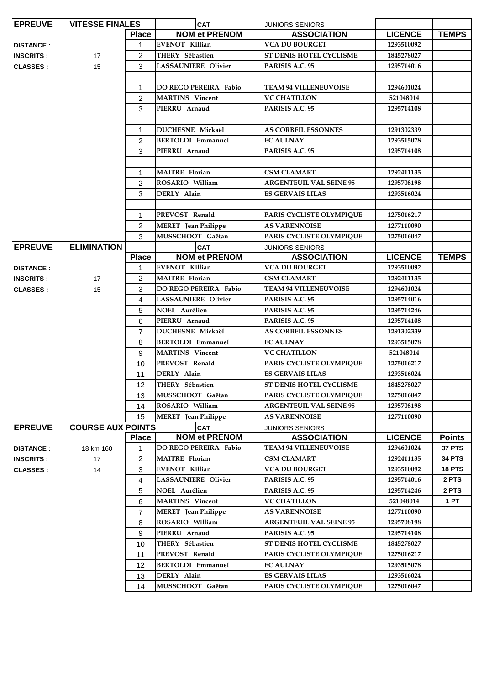| <b>EPREUVE</b>   | <b>VITESSE FINALES</b>   |                | <b>CAT</b>                   | <b>JUNIORS SENIORS</b>         |                |               |
|------------------|--------------------------|----------------|------------------------------|--------------------------------|----------------|---------------|
|                  |                          | <b>Place</b>   | <b>NOM et PRENOM</b>         | <b>ASSOCIATION</b>             | <b>LICENCE</b> | <b>TEMPS</b>  |
| <b>DISTANCE:</b> |                          | 1              | <b>EVENOT Killian</b>        | <b>VCA DU BOURGET</b>          | 1293510092     |               |
| <b>INSCRITS:</b> | 17                       | 2              | THERY Sébastien              | ST DENIS HOTEL CYCLISME        | 1845278027     |               |
| <b>CLASSES:</b>  | 15                       | 3              | <b>LASSAUNIERE Olivier</b>   | PARISIS A.C. 95                | 1295714016     |               |
|                  |                          |                |                              |                                |                |               |
|                  |                          | $\mathbf 1$    | <b>DO REGO PEREIRA Fabio</b> | <b>TEAM 94 VILLENEUVOISE</b>   | 1294601024     |               |
|                  |                          | 2              | <b>MARTINS</b> Vincent       | <b>VC CHATILLON</b>            | 521048014      |               |
|                  |                          | 3              | PIERRU Arnaud                | PARISIS A.C. 95                | 1295714108     |               |
|                  |                          |                |                              |                                |                |               |
|                  |                          | $\mathbf{1}$   | DUCHESNE Mickaël             | <b>AS CORBEIL ESSONNES</b>     | 1291302339     |               |
|                  |                          | 2              | <b>BERTOLDI Emmanuel</b>     | <b>EC AULNAY</b>               | 1293515078     |               |
|                  |                          | 3              | PIERRU Arnaud                | PARISIS A.C. 95                | 1295714108     |               |
|                  |                          |                |                              |                                |                |               |
|                  |                          | $\mathbf 1$    | <b>MAITRE</b> Florian        | <b>CSM CLAMART</b>             | 1292411135     |               |
|                  |                          | $\overline{2}$ | ROSARIO William              | <b>ARGENTEUIL VAL SEINE 95</b> | 1295708198     |               |
|                  |                          | 3              | DERLY Alain                  | <b>ES GERVAIS LILAS</b>        | 1293516024     |               |
|                  |                          |                |                              |                                |                |               |
|                  |                          | $\mathbf{1}$   | PREVOST Renald               | PARIS CYCLISTE OLYMPIQUE       | 1275016217     |               |
|                  |                          | $\overline{2}$ | <b>MERET</b> Jean Philippe   | <b>AS VARENNOISE</b>           | 1277110090     |               |
|                  |                          | 3              | MUSSCHOOT Gaëtan             | PARIS CYCLISTE OLYMPIQUE       | 1275016047     |               |
| <b>EPREUVE</b>   | <b>ELIMINATION</b>       |                | <b>CAT</b>                   | <b>JUNIORS SENIORS</b>         |                |               |
|                  |                          | <b>Place</b>   | <b>NOM et PRENOM</b>         | <b>ASSOCIATION</b>             | <b>LICENCE</b> | <b>TEMPS</b>  |
| <b>DISTANCE:</b> |                          | 1              | <b>EVENOT Killian</b>        | <b>VCA DU BOURGET</b>          | 1293510092     |               |
| <b>INSCRITS:</b> | 17                       | 2              | <b>MAITRE</b> Florian        | <b>CSM CLAMART</b>             | 1292411135     |               |
| <b>CLASSES:</b>  | 15                       | 3              | <b>DO REGO PEREIRA Fabio</b> | <b>TEAM 94 VILLENEUVOISE</b>   | 1294601024     |               |
|                  |                          | 4              | <b>LASSAUNIERE Olivier</b>   | PARISIS A.C. 95                | 1295714016     |               |
|                  |                          | 5              | <b>NOEL Aurélien</b>         | PARISIS A.C. 95                | 1295714246     |               |
|                  |                          | 6              | PIERRU Arnaud                | PARISIS A.C. 95                | 1295714108     |               |
|                  |                          | $\overline{7}$ | <b>DUCHESNE Mickaël</b>      | <b>AS CORBEIL ESSONNES</b>     | 1291302339     |               |
|                  |                          | 8              | <b>BERTOLDI Emmanuel</b>     | <b>EC AULNAY</b>               | 1293515078     |               |
|                  |                          | 9              | <b>MARTINS</b> Vincent       | <b>VC CHATILLON</b>            | 521048014      |               |
|                  |                          | 10             | PREVOST Renald               | PARIS CYCLISTE OLYMPIQUE       | 1275016217     |               |
|                  |                          | 11             | DERLY Alain                  | <b>ES GERVAIS LILAS</b>        | 1293516024     |               |
|                  |                          | 12             | THERY Sébastien              | <b>ST DENIS HOTEL CYCLISME</b> | 1845278027     |               |
|                  |                          | 13             | MUSSCHOOT Gaëtan             | PARIS CYCLISTE OLYMPIQUE       | 1275016047     |               |
|                  |                          | 14             | ROSARIO William              | <b>ARGENTEUIL VAL SEINE 95</b> | 1295708198     |               |
|                  |                          | 15             | <b>MERET</b> Jean Philippe   | <b>AS VARENNOISE</b>           | 1277110090     |               |
| <b>EPREUVE</b>   | <b>COURSE AUX POINTS</b> |                | <b>CAT</b>                   | JUNIORS SENIORS                |                |               |
|                  |                          | <b>Place</b>   | <b>NOM et PRENOM</b>         | <b>ASSOCIATION</b>             | <b>LICENCE</b> | <b>Points</b> |
| <b>DISTANCE:</b> | 18 km 160                | 1              | <b>DO REGO PEREIRA Fabio</b> | <b>TEAM 94 VILLENEUVOISE</b>   | 1294601024     | 37 PTS        |
| <b>INSCRITS:</b> | 17                       | $\overline{c}$ | <b>MAITRE</b> Florian        | <b>CSM CLAMART</b>             | 1292411135     | <b>34 PTS</b> |
| <b>CLASSES:</b>  | 14                       | 3              | <b>EVENOT Killian</b>        | <b>VCA DU BOURGET</b>          | 1293510092     | <b>18 PTS</b> |
|                  |                          | 4              | LASSAUNIERE Olivier          | PARISIS A.C. 95                | 1295714016     | 2 PTS         |
|                  |                          | 5              | NOEL Aurélien                | PARISIS A.C. 95                | 1295714246     | 2 PTS         |
|                  |                          | 6              | <b>MARTINS</b> Vincent       | <b>VC CHATILLON</b>            | 521048014      | 1 PT          |
|                  |                          | $\overline{7}$ | <b>MERET</b> Jean Philippe   | <b>AS VARENNOISE</b>           | 1277110090     |               |
|                  |                          | 8              | ROSARIO William              | <b>ARGENTEUIL VAL SEINE 95</b> | 1295708198     |               |
|                  |                          | 9              | PIERRU Arnaud                | PARISIS A.C. 95                | 1295714108     |               |
|                  |                          | 10             | THERY Sébastien              | ST DENIS HOTEL CYCLISME        | 1845278027     |               |
|                  |                          | 11             | PREVOST Renald               | PARIS CYCLISTE OLYMPIQUE       | 1275016217     |               |
|                  |                          | 12             | <b>BERTOLDI Emmanuel</b>     | <b>EC AULNAY</b>               | 1293515078     |               |
|                  |                          | 13             | DERLY Alain                  | <b>ES GERVAIS LILAS</b>        | 1293516024     |               |
|                  |                          | 14             | MUSSCHOOT Gaëtan             | PARIS CYCLISTE OLYMPIQUE       | 1275016047     |               |